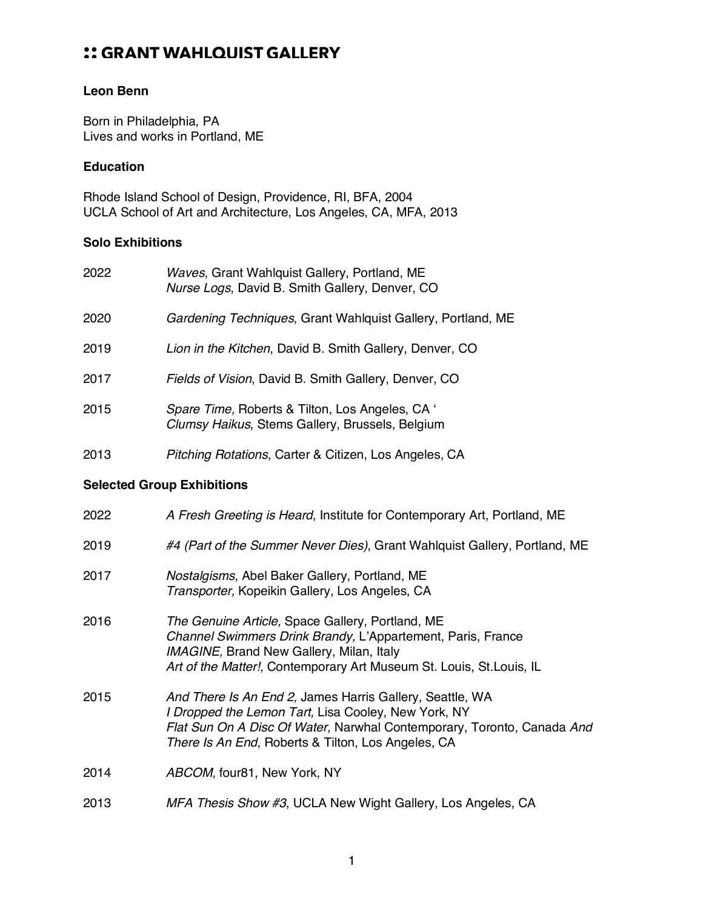## :: GRANT WAHLQUIST GALLERY

### **Leon Benn**

Born in Philadelphia, PA Lives and works in Portland, ME

#### **Education**

Rhode Island School of Design, Providence, RI, BFA, 2004 UCLA School of Art and Architecture, Los Angeles, CA, MFA, 2013

#### **Solo Exhibitions**

| 2022                              | Waves, Grant Wahlquist Gallery, Portland, ME<br>Nurse Logs, David B. Smith Gallery, Denver, CO                                                                                                                                                  |  |
|-----------------------------------|-------------------------------------------------------------------------------------------------------------------------------------------------------------------------------------------------------------------------------------------------|--|
| 2020                              | Gardening Techniques, Grant Wahlquist Gallery, Portland, ME                                                                                                                                                                                     |  |
| 2019                              | Lion in the Kitchen, David B. Smith Gallery, Denver, CO                                                                                                                                                                                         |  |
| 2017                              | Fields of Vision, David B. Smith Gallery, Denver, CO                                                                                                                                                                                            |  |
| 2015                              | Spare Time, Roberts & Tilton, Los Angeles, CA '<br>Clumsy Haikus, Stems Gallery, Brussels, Belgium                                                                                                                                              |  |
| 2013                              | Pitching Rotations, Carter & Citizen, Los Angeles, CA                                                                                                                                                                                           |  |
| <b>Selected Group Exhibitions</b> |                                                                                                                                                                                                                                                 |  |
| 2022                              | A Fresh Greeting is Heard, Institute for Contemporary Art, Portland, ME                                                                                                                                                                         |  |
| 2019                              | #4 (Part of the Summer Never Dies), Grant Wahlquist Gallery, Portland, ME                                                                                                                                                                       |  |
| 2017                              | Nostalgisms, Abel Baker Gallery, Portland, ME<br>Transporter, Kopeikin Gallery, Los Angeles, CA                                                                                                                                                 |  |
| 2016                              | The Genuine Article, Space Gallery, Portland, ME<br>Channel Swimmers Drink Brandy, L'Appartement, Paris, France<br><b>IMAGINE, Brand New Gallery, Milan, Italy</b><br>Art of the Matter!, Contemporary Art Museum St. Louis, St. Louis, IL      |  |
| 2015                              | And There Is An End 2, James Harris Gallery, Seattle, WA<br>I Dropped the Lemon Tart, Lisa Cooley, New York, NY<br>Flat Sun On A Disc Of Water, Narwhal Contemporary, Toronto, Canada And<br>There Is An End, Roberts & Tilton, Los Angeles, CA |  |
| 2014                              | ABCOM, four81, New York, NY                                                                                                                                                                                                                     |  |
|                                   |                                                                                                                                                                                                                                                 |  |

2013 *MFA Thesis Show #3*, UCLA New Wight Gallery, Los Angeles, CA